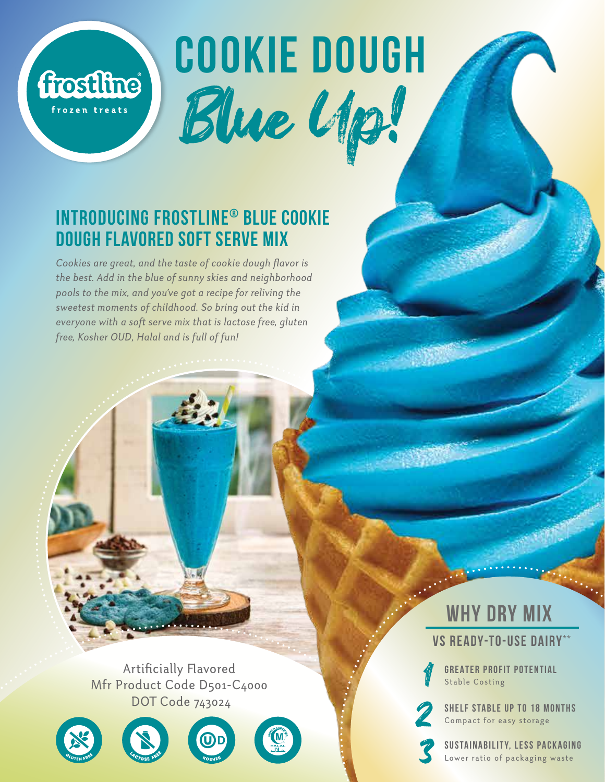# **COOKIE DOUGH** Blue Up!

## **Introducing Frostline® Blue cookie dough Flavored Soft Serve Mix**

**frostline** 

frozen treats

*Cookies are great, and the taste of cookie dough flavor is the best. Add in the blue of sunny skies and neighborhood pools to the mix, and you've got a recipe for reliving the sweetest moments of childhood. So bring out the kid in*  everyone with a soft serve mix that is lactose free, gluten *free, Kosher OUD, Halal and is full of fun!*

Artificially Flavored Mfr Product Code D501-C4000 DOT Code 743024









# **WHY DRY MIX**

**vs Ready-To-Use Dairy\*\***

**GREATER PROFIT POTENTIAL**<br>Stable Costing

**SHELF STABLE UP TO 18 MONTHS**<br>Compact for easy storage<br>**SUSTAINABILITY, LESS PACKAGING** 

Lower ratio of packaging waste